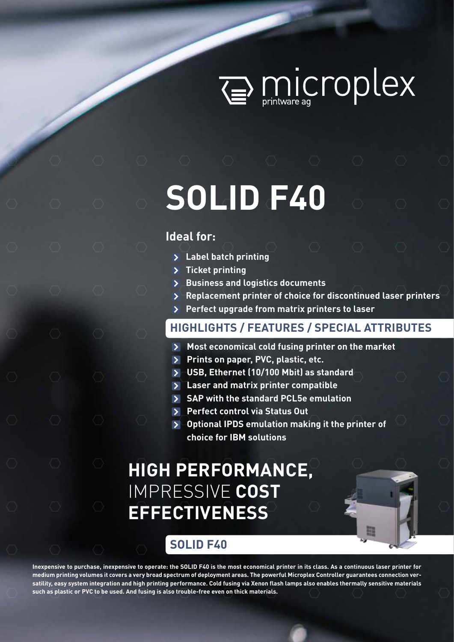

# **SOLID F40**

### **Ideal for:**

- **Label batch printing**
- **Ticket printing**
- **Business and logistics documents**
- **Replacement printer of choice for discontinued laser printers**
- **Perfect upgrade from matrix printers to laser**

## **HIGHLIGHTS / FEATURES / SPECIAL ATTRIBUTES**

- **Most economical cold fusing printer on the market**
- **Prints on paper, PVC, plastic, etc.**
- **USB, Ethernet (10/100 Mbit) as standard**
- **Laser and matrix printer compatible**
- **SAP with the standard PCL5e emulation**
- **Perfect control via Status Out**
- **Optional IPDS emulation making it the printer of choice for IBM solutions**

## **HIGH PERFORMANCE,**  IMPRESSIVE **COST EFFECTIVENESS**



## **SOLID F40**

**Inexpensive to purchase, inexpensive to operate: the SOLID F40 is the most economical printer in its class. As a continuous laser printer for medium printing volumes it covers a very broad spectrum of deployment areas. The powerful Microplex Controller guarantees connection versatility, easy system integration and high printing performance. Cold fusing via Xenon flash lamps also enables thermally sensitive materials such as plastic or PVC to be used. And fusing is also trouble-free even on thick materials.**